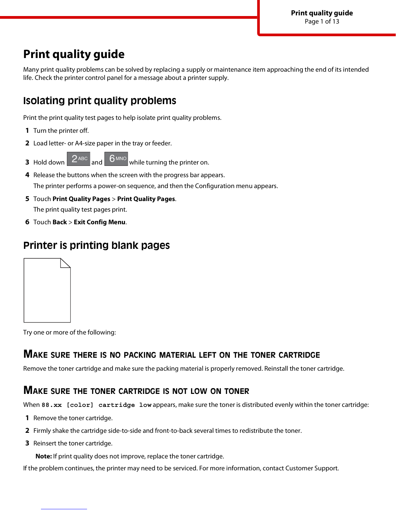# **Print quality guide**

Many print quality problems can be solved by replacing a supply or maintenance item approaching the end of its intended life. Check the printer control panel for a message about a printer supply.

# **Isolating print quality problems**

Print the print quality test pages to help isolate print quality problems.

- **1** Turn the printer off.
- **2** Load letter- or A4-size paper in the tray or feeder.
- **3** Hold down  $\begin{bmatrix} 2^{ABC} \\ and \end{bmatrix}$  of  $\begin{bmatrix} 6 \text{ MNO} \\ which \end{bmatrix}$  while turning the printer on.
- **4** Release the buttons when the screen with the progress bar appears. The printer performs a power-on sequence, and then the Configuration menu appears.
- **5** Touch **Print Quality Pages** > **Print Quality Pages**. The print quality test pages print.
- **6** Touch **Back** > **Exit Config Menu**.

# **Printer is printing blank pages**



Try one or more of the following:

### **MAKE SURE THERE IS NO PACKING MATERIAL LEFT ON THE TONER CARTRIDGE**

Remove the toner cartridge and make sure the packing material is properly removed. Reinstall the toner cartridge.

### **MAKE SURE THE TONER CARTRIDGE IS NOT LOW ON TONER**

When 88.xx [color] cartridge low appears, make sure the toner is distributed evenly within the toner cartridge:

- **1** Remove the toner cartridge.
- **2** Firmly shake the cartridge side-to-side and front-to-back several times to redistribute the toner.
- **3** Reinsert the toner cartridge.

**Note:** If print quality does not improve, replace the toner cartridge.

If the problem continues, the printer may need to be serviced. For more information, contact Customer Support.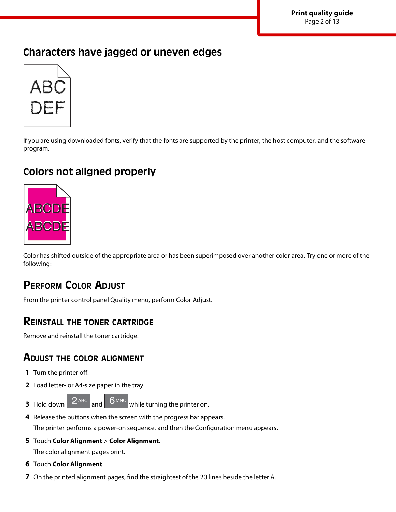**Print quality guide** Page 2 of 13

# **Characters have jagged or uneven edges**



If you are using downloaded fonts, verify that the fonts are supported by the printer, the host computer, and the software program.

# **Colors not aligned properly**



Color has shifted outside of the appropriate area or has been superimposed over another color area. Try one or more of the following:

# **PERFORM COLOR ADJUST**

From the printer control panel Quality menu, perform Color Adjust.

### **REINSTALL THE TONER CARTRIDGE**

Remove and reinstall the toner cartridge.

### **ADJUST THE COLOR ALIGNMENT**

- **1** Turn the printer off.
- **2** Load letter- or A4-size paper in the tray.
- **3** Hold down  $2^{ABC}$  and  $6^{MNO}$  while turning the printer on.
- **4** Release the buttons when the screen with the progress bar appears.

The printer performs a power-on sequence, and then the Configuration menu appears.

- **5** Touch **Color Alignment** > **Color Alignment**. The color alignment pages print.
- **6** Touch **Color Alignment**.
- **7** On the printed alignment pages, find the straightest of the 20 lines beside the letter A.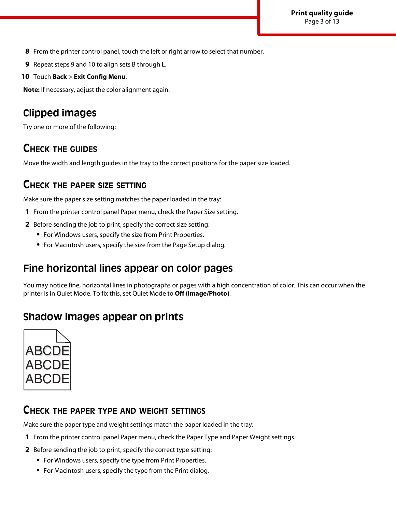- **8** From the printer control panel, touch the left or right arrow to select that number.
- **9** Repeat steps 9 and 10 to align sets B through L.
- **10** Touch **Back** > **Exit Config Menu**.

**Note:** If necessary, adjust the color alignment again.

# **Clipped images**

Try one or more of the following:

# **CHECK THE GUIDES**

Move the width and length guides in the tray to the correct positions for the paper size loaded.

### **CHECK THE PAPER SIZE SETTING**

Make sure the paper size setting matches the paper loaded in the tray:

- **1** From the printer control panel Paper menu, check the Paper Size setting.
- **2** Before sending the job to print, specify the correct size setting:
	- **•** For Windows users, specify the size from Print Properties.
	- **•** For Macintosh users, specify the size from the Page Setup dialog.

# **Fine horizontal lines appear on color pages**

You may notice fine, horizontal lines in photographs or pages with a high concentration of color. This can occur when the printer is in Quiet Mode. To fix this, set Quiet Mode to **Off (Image/Photo)**.

# **Shadow images appear on prints**



### **CHECK THE PAPER TYPE AND WEIGHT SETTINGS**

Make sure the paper type and weight settings match the paper loaded in the tray:

- **1** From the printer control panel Paper menu, check the Paper Type and Paper Weight settings.
- **2** Before sending the job to print, specify the correct type setting:
	- **•** For Windows users, specify the type from Print Properties.
	- **•** For Macintosh users, specify the type from the Print dialog.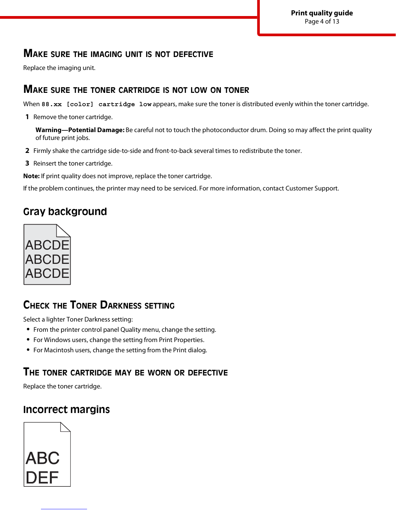### **MAKE SURE THE IMAGING UNIT IS NOT DEFECTIVE**

Replace the imaging unit.

#### **MAKE SURE THE TONER CARTRIDGE IS NOT LOW ON TONER**

When 88.xx [color] cartridge low appears, make sure the toner is distributed evenly within the toner cartridge.

**1** Remove the toner cartridge.

**Warning—Potential Damage:** Be careful not to touch the photoconductor drum. Doing so may affect the print quality of future print jobs.

- **2** Firmly shake the cartridge side-to-side and front-to-back several times to redistribute the toner.
- **3** Reinsert the toner cartridge.

**Note:** If print quality does not improve, replace the toner cartridge.

If the problem continues, the printer may need to be serviced. For more information, contact Customer Support.

# **Gray background**



# **CHECK THE TONER DARKNESS SETTING**

Select a lighter Toner Darkness setting:

- **•** From the printer control panel Quality menu, change the setting.
- **•** For Windows users, change the setting from Print Properties.
- **•** For Macintosh users, change the setting from the Print dialog.

### **THE TONER CARTRIDGE MAY BE WORN OR DEFECTIVE**

Replace the toner cartridge.

# **Incorrect margins**

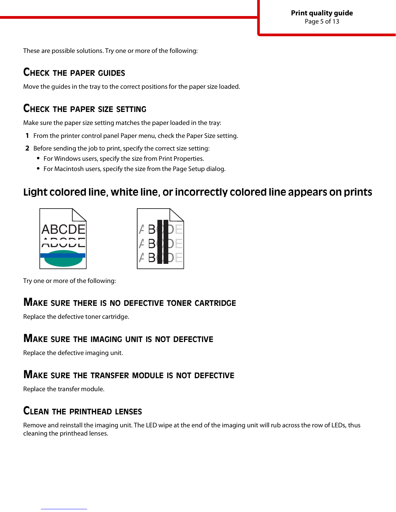These are possible solutions. Try one or more of the following:

### **CHECK THE PAPER GUIDES**

Move the guides in the tray to the correct positions for the paper size loaded.

### **CHECK THE PAPER SIZE SETTING**

Make sure the paper size setting matches the paper loaded in the tray:

- **1** From the printer control panel Paper menu, check the Paper Size setting.
- **2** Before sending the job to print, specify the correct size setting:
	- **•** For Windows users, specify the size from Print Properties.
	- **•** For Macintosh users, specify the size from the Page Setup dialog.

### **Light colored line, white line, or incorrectly colored line appears on prints**





Try one or more of the following:

### **MAKE SURE THERE IS NO DEFECTIVE TONER CARTRIDGE**

Replace the defective toner cartridge.

#### **MAKE SURE THE IMAGING UNIT IS NOT DEFECTIVE**

Replace the defective imaging unit.

#### **MAKE SURE THE TRANSFER MODULE IS NOT DEFECTIVE**

Replace the transfer module.

### **CLEAN THE PRINTHEAD LENSES**

Remove and reinstall the imaging unit. The LED wipe at the end of the imaging unit will rub across the row of LEDs, thus cleaning the printhead lenses.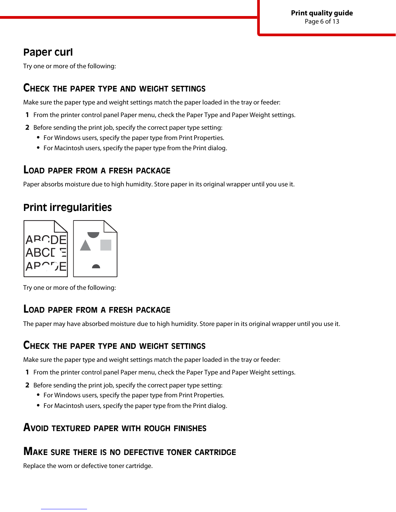# **Paper curl**

Try one or more of the following:

### **CHECK THE PAPER TYPE AND WEIGHT SETTINGS**

Make sure the paper type and weight settings match the paper loaded in the tray or feeder:

- **1** From the printer control panel Paper menu, check the Paper Type and Paper Weight settings.
- **2** Before sending the print job, specify the correct paper type setting:
	- **•** For Windows users, specify the paper type from Print Properties.
	- **•** For Macintosh users, specify the paper type from the Print dialog.

### **LOAD PAPER FROM <sup>A</sup> FRESH PACKAGE**

Paper absorbs moisture due to high humidity. Store paper in its original wrapper until you use it.

# **Print irregularities**



Try one or more of the following:

### **LOAD PAPER FROM <sup>A</sup> FRESH PACKAGE**

The paper may have absorbed moisture due to high humidity. Store paper in its original wrapper until you use it.

### **CHECK THE PAPER TYPE AND WEIGHT SETTINGS**

Make sure the paper type and weight settings match the paper loaded in the tray or feeder:

- **1** From the printer control panel Paper menu, check the Paper Type and Paper Weight settings.
- **2** Before sending the print job, specify the correct paper type setting:
	- **•** For Windows users, specify the paper type from Print Properties.
	- **•** For Macintosh users, specify the paper type from the Print dialog.

### **AVOID TEXTURED PAPER WITH ROUGH FINISHES**

### **MAKE SURE THERE IS NO DEFECTIVE TONER CARTRIDGE**

Replace the worn or defective toner cartridge.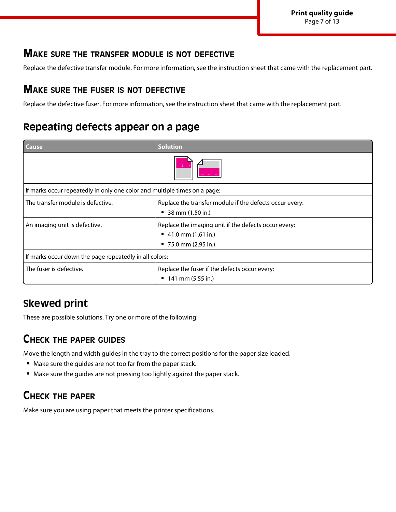**Print quality guide** Page 7 of 13

### **MAKE SURE THE TRANSFER MODULE IS NOT DEFECTIVE**

Replace the defective transfer module. For more information, see the instruction sheet that came with the replacement part.

### **MAKE SURE THE FUSER IS NOT DEFECTIVE**

Replace the defective fuser. For more information, see the instruction sheet that came with the replacement part.

# **Repeating defects appear on a page**

| Cause                                                                     | <b>Solution</b>                                                                                                  |  |
|---------------------------------------------------------------------------|------------------------------------------------------------------------------------------------------------------|--|
|                                                                           |                                                                                                                  |  |
| If marks occur repeatedly in only one color and multiple times on a page: |                                                                                                                  |  |
| The transfer module is defective.                                         | Replace the transfer module if the defects occur every:<br>38 mm (1.50 in.)                                      |  |
| An imaging unit is defective.                                             | Replace the imaging unit if the defects occur every:<br>• 41.0 mm $(1.61$ in.)<br>• 75.0 mm $(2.95 \text{ in.})$ |  |
| If marks occur down the page repeatedly in all colors:                    |                                                                                                                  |  |
| The fuser is defective.                                                   | Replace the fuser if the defects occur every:<br>141 mm (5.55 in.)                                               |  |

# **Skewed print**

These are possible solutions. Try one or more of the following:

### **CHECK THE PAPER GUIDES**

Move the length and width guides in the tray to the correct positions for the paper size loaded.

- **•** Make sure the guides are not too far from the paper stack.
- **•** Make sure the guides are not pressing too lightly against the paper stack.

# **CHECK THE PAPER**

Make sure you are using paper that meets the printer specifications.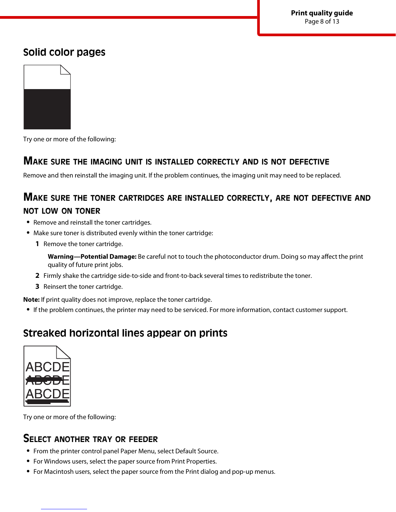## **Solid color pages**



Try one or more of the following:

#### **MAKE SURE THE IMAGING UNIT IS INSTALLED CORRECTLY AND IS NOT DEFECTIVE**

Remove and then reinstall the imaging unit. If the problem continues, the imaging unit may need to be replaced.

## **MAKE SURE THE TONER CARTRIDGES ARE INSTALLED CORRECTLY, ARE NOT DEFECTIVE AND NOT LOW ON TONER**

- **•** Remove and reinstall the toner cartridges.
- **•** Make sure toner is distributed evenly within the toner cartridge:
	- **1** Remove the toner cartridge.

**Warning—Potential Damage:** Be careful not to touch the photoconductor drum. Doing so may affect the print quality of future print jobs.

- **2** Firmly shake the cartridge side-to-side and front-to-back several times to redistribute the toner.
- **3** Reinsert the toner cartridge.

**Note:** If print quality does not improve, replace the toner cartridge.

**•** If the problem continues, the printer may need to be serviced. For more information, contact customer support.

# **Streaked horizontal lines appear on prints**



Try one or more of the following:

### **SELECT ANOTHER TRAY OR FEEDER**

- **•** From the printer control panel Paper Menu, select Default Source.
- **•** For Windows users, select the paper source from Print Properties.
- **•** For Macintosh users, select the paper source from the Print dialog and pop-up menus.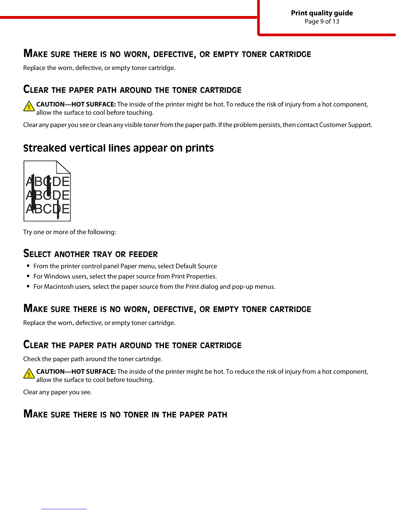### **MAKE SURE THERE IS NO WORN, DEFECTIVE, OR EMPTY TONER CARTRIDGE**

Replace the worn, defective, or empty toner cartridge.

#### **CLEAR THE PAPER PATH AROUND THE TONER CARTRIDGE**

**CAUTION—HOT SURFACE:** The inside of the printer might be hot. To reduce the risk of injury from a hot component, allow the surface to cool before touching.

Clear any paper you see or clean any visible toner from the paper path. If the problem persists, then contact Customer Support.

# **Streaked vertical lines appear on prints**



Try one or more of the following:

#### **SELECT ANOTHER TRAY OR FEEDER**

- **•** From the printer control panel Paper menu, select Default Source
- **•** For Windows users, select the paper source from Print Properties.
- **•** For Macintosh users, select the paper source from the Print dialog and pop-up menus.

### **MAKE SURE THERE IS NO WORN, DEFECTIVE, OR EMPTY TONER CARTRIDGE**

Replace the worn, defective, or empty toner cartridge.

#### **CLEAR THE PAPER PATH AROUND THE TONER CARTRIDGE**

Check the paper path around the toner cartridge.

**CAUTION—HOT SURFACE:** The inside of the printer might be hot. To reduce the risk of injury from a hot component, allow the surface to cool before touching.

Clear any paper you see.

### **MAKE SURE THERE IS NO TONER IN THE PAPER PATH**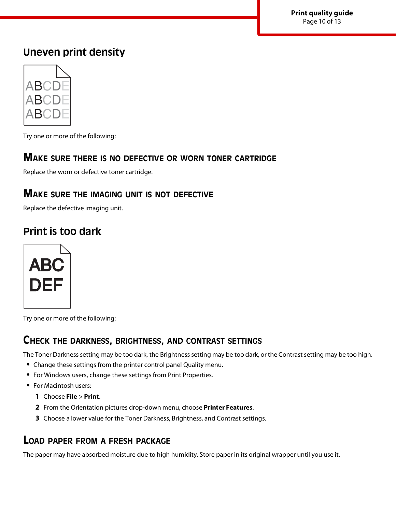# **Uneven print density**



Try one or more of the following:

### **MAKE SURE THERE IS NO DEFECTIVE OR WORN TONER CARTRIDGE**

Replace the worn or defective toner cartridge.

### **MAKE SURE THE IMAGING UNIT IS NOT DEFECTIVE**

Replace the defective imaging unit.

# **Print is too dark**



Try one or more of the following:

### **CHECK THE DARKNESS, BRIGHTNESS, AND CONTRAST SETTINGS**

The Toner Darkness setting may be too dark, the Brightness setting may be too dark, or the Contrast setting may be too high.

- **•** Change these settings from the printer control panel Quality menu.
- **•** For Windows users, change these settings from Print Properties.
- **•** For Macintosh users:
	- **1** Choose **File** > **Print**.
	- **2** From the Orientation pictures drop-down menu, choose **Printer Features**.
	- **3** Choose a lower value for the Toner Darkness, Brightness, and Contrast settings.

### **LOAD PAPER FROM <sup>A</sup> FRESH PACKAGE**

The paper may have absorbed moisture due to high humidity. Store paper in its original wrapper until you use it.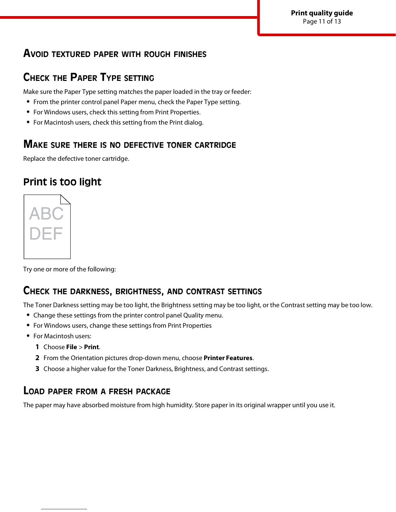**Print quality guide** Page 11 of 13

### **AVOID TEXTURED PAPER WITH ROUGH FINISHES**

# **CHECK THE PAPER TYPE SETTING**

Make sure the Paper Type setting matches the paper loaded in the tray or feeder:

- **•** From the printer control panel Paper menu, check the Paper Type setting.
- **•** For Windows users, check this setting from Print Properties.
- **•** For Macintosh users, check this setting from the Print dialog.

### **MAKE SURE THERE IS NO DEFECTIVE TONER CARTRIDGE**

Replace the defective toner cartridge.

# **Print is too light**



Try one or more of the following:

### **CHECK THE DARKNESS, BRIGHTNESS, AND CONTRAST SETTINGS**

The Toner Darkness setting may be too light, the Brightness setting may be too light, or the Contrast setting may be too low.

- **•** Change these settings from the printer control panel Quality menu.
- **•** For Windows users, change these settings from Print Properties
- **•** For Macintosh users:
	- **1** Choose **File** > **Print**.
	- **2** From the Orientation pictures drop-down menu, choose **Printer Features**.
	- **3** Choose a higher value for the Toner Darkness, Brightness, and Contrast settings.

### **LOAD PAPER FROM <sup>A</sup> FRESH PACKAGE**

The paper may have absorbed moisture from high humidity. Store paper in its original wrapper until you use it.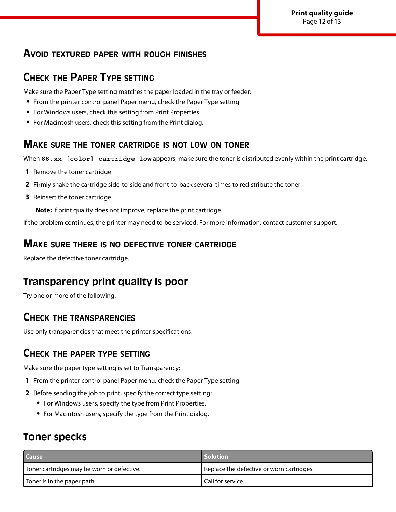**Print quality guide** Page 12 of 13

### **AVOID TEXTURED PAPER WITH ROUGH FINISHES**

# **CHECK THE PAPER TYPE SETTING**

Make sure the Paper Type setting matches the paper loaded in the tray or feeder:

- **•** From the printer control panel Paper menu, check the Paper Type setting.
- **•** For Windows users, check this setting from Print Properties.
- **•** For Macintosh users, check this setting from the Print dialog.

#### **MAKE SURE THE TONER CARTRIDGE IS NOT LOW ON TONER**

When 88.xx [color] cartridge low appears, make sure the toner is distributed evenly within the print cartridge.

- **1** Remove the toner cartridge.
- **2** Firmly shake the cartridge side-to-side and front-to-back several times to redistribute the toner.
- **3** Reinsert the toner cartridge.

**Note:** If print quality does not improve, replace the print cartridge.

If the problem continues, the printer may need to be serviced. For more information, contact customer support.

#### **MAKE SURE THERE IS NO DEFECTIVE TONER CARTRIDGE**

Replace the defective toner cartridge.

### **Transparency print quality is poor**

Try one or more of the following:

### **CHECK THE TRANSPARENCIES**

Use only transparencies that meet the printer specifications.

### **CHECK THE PAPER TYPE SETTING**

Make sure the paper type setting is set to Transparency:

- **1** From the printer control panel Paper menu, check the Paper Type setting.
- **2** Before sending the job to print, specify the correct type setting:
	- **•** For Windows users, specify the type from Print Properties.
	- **•** For Macintosh users, specify the type from the Print dialog.

### **Toner specks**

| <b>Cause</b>                               | <b>Solution</b>                           |
|--------------------------------------------|-------------------------------------------|
| Toner cartridges may be worn or defective. | Replace the defective or worn cartridges. |
| Toner is in the paper path.                | Call for service.                         |